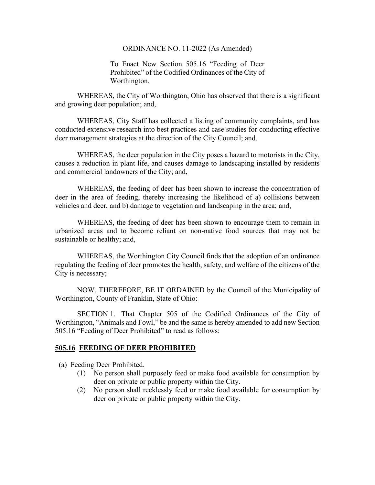## ORDINANCE NO. 11-2022 (As Amended)

To Enact New Section 505.16 "Feeding of Deer Prohibited" of the Codified Ordinances of the City of Worthington.

WHEREAS, the City of Worthington, Ohio has observed that there is a significant and growing deer population; and,

WHEREAS, City Staff has collected a listing of community complaints, and has conducted extensive research into best practices and case studies for conducting effective deer management strategies at the direction of the City Council; and,

WHEREAS, the deer population in the City poses a hazard to motorists in the City, causes a reduction in plant life, and causes damage to landscaping installed by residents and commercial landowners of the City; and,

WHEREAS, the feeding of deer has been shown to increase the concentration of deer in the area of feeding, thereby increasing the likelihood of a) collisions between vehicles and deer, and b) damage to vegetation and landscaping in the area; and,

WHEREAS, the feeding of deer has been shown to encourage them to remain in urbanized areas and to become reliant on non-native food sources that may not be sustainable or healthy; and,

WHEREAS, the Worthington City Council finds that the adoption of an ordinance regulating the feeding of deer promotes the health, safety, and welfare of the citizens of the City is necessary;

NOW, THEREFORE, BE IT ORDAINED by the Council of the Municipality of Worthington, County of Franklin, State of Ohio:

SECTION 1. That Chapter 505 of the Codified Ordinances of the City of Worthington, "Animals and Fowl," be and the same is hereby amended to add new Section 505.16 "Feeding of Deer Prohibited" to read as follows:

## **505.16 FEEDING OF DEER PROHIBITED**

(a) Feeding Deer Prohibited.

- (1) No person shall purposely feed or make food available for consumption by deer on private or public property within the City.
- (2) No person shall recklessly feed or make food available for consumption by deer on private or public property within the City.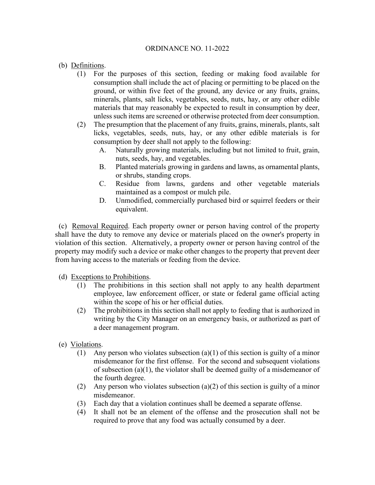## ORDINANCE NO. 11-2022

- (b) Definitions.
	- (1) For the purposes of this section, feeding or making food available for consumption shall include the act of placing or permitting to be placed on the ground, or within five feet of the ground, any device or any fruits, grains, minerals, plants, salt licks, vegetables, seeds, nuts, hay, or any other edible materials that may reasonably be expected to result in consumption by deer, unless such items are screened or otherwise protected from deer consumption.
	- (2) The presumption that the placement of any fruits, grains, minerals, plants, salt licks, vegetables, seeds, nuts, hay, or any other edible materials is for consumption by deer shall not apply to the following:
		- A. Naturally growing materials, including but not limited to fruit, grain, nuts, seeds, hay, and vegetables.
		- B. Planted materials growing in gardens and lawns, as ornamental plants, or shrubs, standing crops.
		- C. Residue from lawns, gardens and other vegetable materials maintained as a compost or mulch pile.
		- D. Unmodified, commercially purchased bird or squirrel feeders or their equivalent.

 (c) Removal Required. Each property owner or person having control of the property shall have the duty to remove any device or materials placed on the owner's property in violation of this section. Alternatively, a property owner or person having control of the property may modify such a device or make other changes to the property that prevent deer from having access to the materials or feeding from the device.

- (d) Exceptions to Prohibitions.
	- (1) The prohibitions in this section shall not apply to any health department employee, law enforcement officer, or state or federal game official acting within the scope of his or her official duties.
	- (2) The prohibitions in this section shall not apply to feeding that is authorized in writing by the City Manager on an emergency basis, or authorized as part of a deer management program.
- (e) Violations.
	- (1) Any person who violates subsection (a)(1) of this section is guilty of a minor misdemeanor for the first offense. For the second and subsequent violations of subsection (a)(1), the violator shall be deemed guilty of a misdemeanor of the fourth degree.
	- (2) Any person who violates subsection (a)(2) of this section is guilty of a minor misdemeanor.
	- (3) Each day that a violation continues shall be deemed a separate offense.
	- (4) It shall not be an element of the offense and the prosecution shall not be required to prove that any food was actually consumed by a deer.